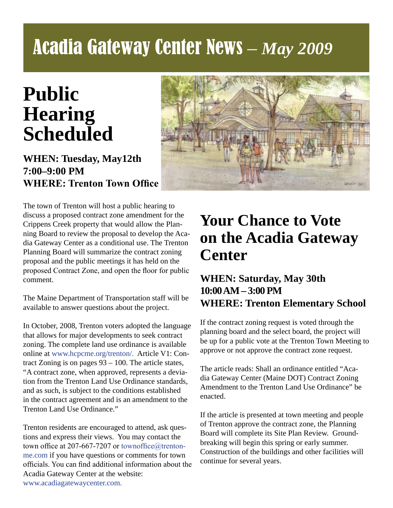# Acadia Gateway Center News – *May 2009*

# **Public Hearing Scheduled**

#### **WHEN: Tuesday, May12th 7:00–9:00 PM WHERE: Trenton Town Office**



The town of Trenton will host a public hearing to discuss a proposed contract zone amendment for the Crippens Creek property that would allow the Planning Board to review the proposal to develop the Acadia Gateway Center as a conditional use. The Trenton Planning Board will summarize the contract zoning proposal and the public meetings it has held on the proposed Contract Zone, and open the floor for public comment.

The Maine Department of Transportation staff will be available to answer questions about the project.

In October, 2008, Trenton voters adopted the language that allows for major developments to seek contract zoning. The complete land use ordinance is available online at www.hcpcme.org/trenton/. Article V1: Contract Zoning is on pages 93 – 100. The article states, "A contract zone, when approved, represents a deviation from the Trenton Land Use Ordinance standards, and as such, is subject to the conditions established in the contract agreement and is an amendment to the Trenton Land Use Ordinance."

Trenton residents are encouraged to attend, ask questions and express their views. You may contact the town office at 207-667-7207 or townoffice@trentonme.com if you have questions or comments for town officials. You can find additional information about the Acadia Gateway Center at the website: www.acadiagatewaycenter.com.

## **Your Chance to Vote on the Acadia Gateway Center**

#### **WHEN: Saturday, May 30th 10:00 AM – 3:00 PM WHERE: Trenton Elementary School**

If the contract zoning request is voted through the planning board and the select board, the project will be up for a public vote at the Trenton Town Meeting to approve or not approve the contract zone request.

The article reads: Shall an ordinance entitled "Acadia Gateway Center (Maine DOT) Contract Zoning Amendment to the Trenton Land Use Ordinance" be enacted.

If the article is presented at town meeting and people of Trenton approve the contract zone, the Planning Board will complete its Site Plan Review. Groundbreaking will begin this spring or early summer. Construction of the buildings and other facilities will continue for several years.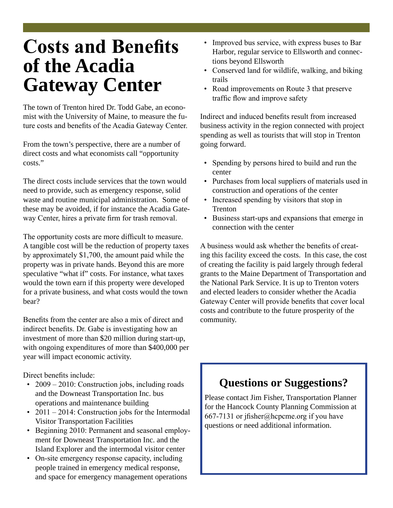## **Costs and Benefits of the Acadia Gateway Center**

The town of Trenton hired Dr. Todd Gabe, an economist with the University of Maine, to measure the future costs and benefits of the Acadia Gateway Center.

From the town's perspective, there are a number of direct costs and what economists call "opportunity costs."

The direct costs include services that the town would need to provide, such as emergency response, solid waste and routine municipal administration. Some of these may be avoided, if for instance the Acadia Gateway Center, hires a private firm for trash removal.

The opportunity costs are more difficult to measure. A tangible cost will be the reduction of property taxes by approximately \$1,700, the amount paid while the property was in private hands. Beyond this are more speculative "what if" costs. For instance, what taxes would the town earn if this property were developed for a private business, and what costs would the town bear?

Benefits from the center are also a mix of direct and indirect benefits. Dr. Gabe is investigating how an investment of more than \$20 million during start-up, with ongoing expenditures of more than \$400,000 per year will impact economic activity.

Direct benefits include:

- 2009 2010: Construction jobs, including roads and the Downeast Transportation Inc. bus operations and maintenance building
- 2011 2014: Construction jobs for the Intermodal Visitor Transportation Facilities
- Beginning 2010: Permanent and seasonal employ ment for Downeast Transportation Inc. and the Island Explorer and the intermodal visitor center
- On-site emergency response capacity, including people trained in emergency medical response, and space for emergency management operations
- Improved bus service, with express buses to Bar Harbor, regular service to Ellsworth and connec tions beyond Ellsworth
- Conserved land for wildlife, walking, and biking trails
- Road improvements on Route 3 that preserve traffic flow and improve safety

Indirect and induced benefits result from increased business activity in the region connected with project spending as well as tourists that will stop in Trenton going forward.

- Spending by persons hired to build and run the center
- Purchases from local suppliers of materials used in construction and operations of the center
- Increased spending by visitors that stop in Trenton
- Business start-ups and expansions that emerge in connection with the center

A business would ask whether the benefits of creating this facility exceed the costs. In this case, the cost of creating the facility is paid largely through federal grants to the Maine Department of Transportation and the National Park Service. It is up to Trenton voters and elected leaders to consider whether the Acadia Gateway Center will provide benefits that cover local costs and contribute to the future prosperity of the community.

### **Questions or Suggestions?**

Please contact Jim Fisher, Transportation Planner for the Hancock County Planning Commission at 667-7131 or jfisher@hcpcme.org if you have questions or need additional information.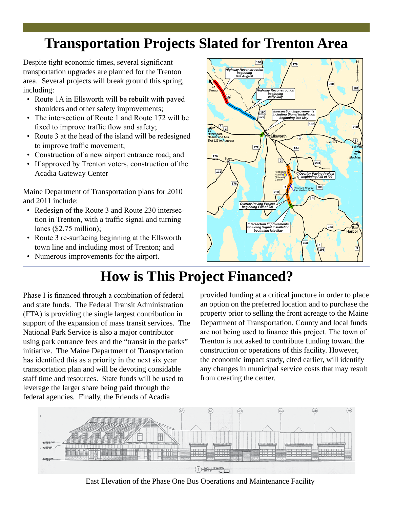### **Transportation Projects Slated for Trenton Area**

Despite tight economic times, several significant transportation upgrades are planned for the Trenton area. Several projects will break ground this spring, including:

- Route 1A in Ellsworth will be rebuilt with paved shoulders and other safety improvements;
- The intersection of Route 1 and Route 172 will be fixed to improve traffic flow and safety;
- Route 3 at the head of the island will be redesigned to improve traffic movement;
- Construction of a new airport entrance road; and
- If approved by Trenton voters, construction of the Acadia Gateway Center

Maine Department of Transportation plans for 2010 and 2011 include:

- Redesign of the Route 3 and Route 230 intersection in Trenton, with a traffic signal and turning lanes (\$2.75 million);
- Route 3 re-surfacing beginning at the Ellsworth town line and including most of Trenton; and
- Numerous improvements for the airport.



## **How is This Project Financed?**

Phase I is financed through a combination of federal and state funds. The Federal Transit Administration (FTA) is providing the single largest contribution in support of the expansion of mass transit services. The National Park Service is also a major contributor using park entrance fees and the "transit in the parks" initiative. The Maine Department of Transportation has identified this as a priority in the next six year transportation plan and will be devoting considable staff time and resources. State funds will be used to leverage the larger share being paid through the federal agencies. Finally, the Friends of Acadia

provided funding at a critical juncture in order to place an option on the preferred location and to purchase the property prior to selling the front acreage to the Maine Department of Transportation. County and local funds are not being used to finance this project. The town of Trenton is not asked to contribute funding toward the construction or operations of this facility. However, the economic impact study, cited earlier, will identify any changes in municipal service costs that may result from creating the center.



East Elevation of the Phase One Bus Operations and Maintenance Facility